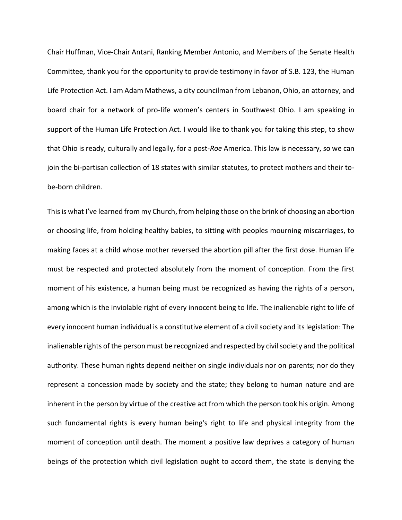Chair Huffman, Vice-Chair Antani, Ranking Member Antonio, and Members of the Senate Health Committee, thank you for the opportunity to provide testimony in favor of S.B. 123, the Human Life Protection Act. I am Adam Mathews, a city councilman from Lebanon, Ohio, an attorney, and board chair for a network of pro-life women's centers in Southwest Ohio. I am speaking in support of the Human Life Protection Act. I would like to thank you for taking this step, to show that Ohio is ready, culturally and legally, for a post-*Roe* America. This law is necessary, so we can join the bi-partisan collection of 18 states with similar statutes, to protect mothers and their tobe-born children.

This is what I've learned from my Church, from helping those on the brink of choosing an abortion or choosing life, from holding healthy babies, to sitting with peoples mourning miscarriages, to making faces at a child whose mother reversed the abortion pill after the first dose. Human life must be respected and protected absolutely from the moment of conception. From the first moment of his existence, a human being must be recognized as having the rights of a person, among which is the inviolable right of every innocent being to life. The inalienable right to life of every innocent human individual is a constitutive element of a civil society and its legislation: The inalienable rights of the person must be recognized and respected by civil society and the political authority. These human rights depend neither on single individuals nor on parents; nor do they represent a concession made by society and the state; they belong to human nature and are inherent in the person by virtue of the creative act from which the person took his origin. Among such fundamental rights is every human being's right to life and physical integrity from the moment of conception until death. The moment a positive law deprives a category of human beings of the protection which civil legislation ought to accord them, the state is denying the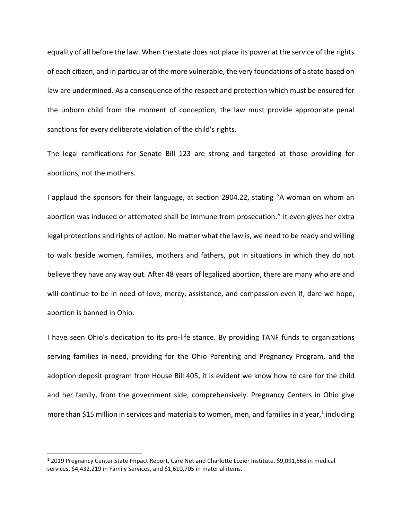equality of all before the law. When the state does not place its power at the service of the rights of each citizen, and in particular of the more vulnerable, the very foundations of a state based on law are undermined. As a consequence of the respect and protection which must be ensured for the unborn child from the moment of conception, the law must provide appropriate penal sanctions for every deliberate violation of the child's rights.

The legal ramifications for Senate Bill 123 are strong and targeted at those providing for abortions, not the mothers.

I applaud the sponsors for their language, at section 2904.22, stating "A woman on whom an abortion was induced or attempted shall be immune from prosecution." It even gives her extra legal protections and rights of action. No matter what the law is, we need to be ready and willing to walk beside women, families, mothers and fathers, put in situations in which they do not believe they have any way out. After 48 years of legalized abortion, there are many who are and will continue to be in need of love, mercy, assistance, and compassion even if, dare we hope, abortion is banned in Ohio.

I have seen Ohio's dedication to its pro-life stance. By providing TANF funds to organizations serving families in need, providing for the Ohio Parenting and Pregnancy Program, and the adoption deposit program from House Bill 405, it is evident we know how to care for the child and her family, from the government side, comprehensively. Pregnancy Centers in Ohio give more than \$15 million in services and materials to women, men, and families in a year,<sup>1</sup> including

<sup>1</sup> 2019 Pregnancy Center State Impact Report, Care Net and Charlotte Lozier Institute. \$9,091,568 in medical services, \$4,432,219 in Family Services, and \$1,610,705 in material items.